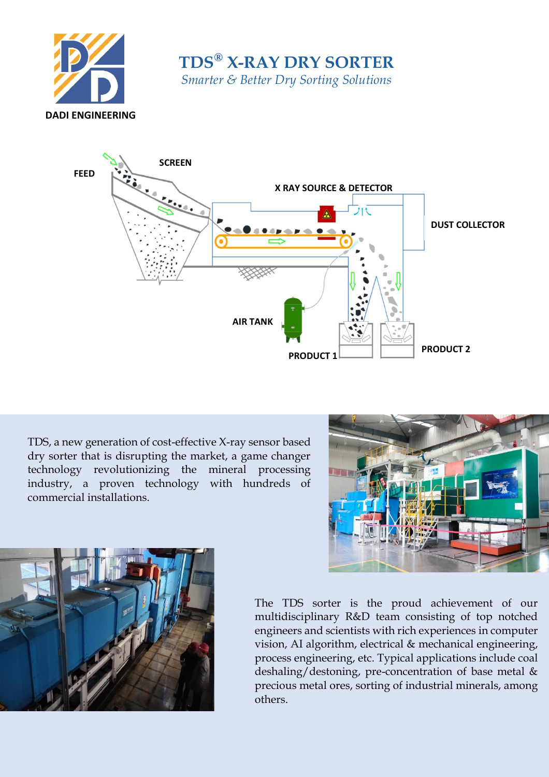

**TDS® X-RAY DRY SORTER** *Smarter & Better Dry Sorting Solutions*



TDS, a new generation of cost-effective X-ray sensor based dry sorter that is disrupting the market, a game changer technology revolutionizing the mineral processing industry, a proven technology with hundreds of commercial installations.





The TDS sorter is the proud achievement of our multidisciplinary R&D team consisting of top notched engineers and scientists with rich experiences in computer vision, AI algorithm, electrical & mechanical engineering, process engineering, etc. Typical applications include coal deshaling/destoning, pre-concentration of base metal & precious metal ores, sorting of industrial minerals, among others.